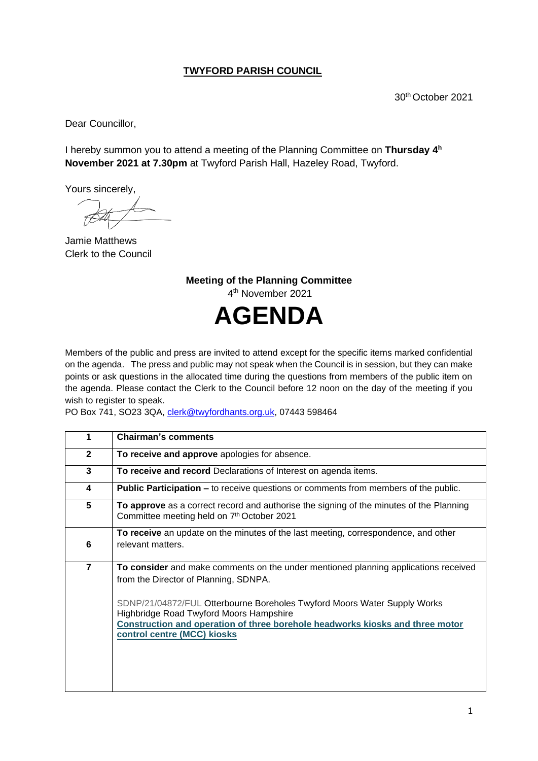## **TWYFORD PARISH COUNCIL**

30th October 2021

Dear Councillor,

I hereby summon you to attend a meeting of the Planning Committee on Thursday 4<sup>h</sup> **November 2021 at 7.30pm** at Twyford Parish Hall, Hazeley Road, Twyford.

Yours sincerely,

Jamie Matthews Clerk to the Council

**Meeting of the Planning Committee** 4 th November 2021 **AGENDA**

Members of the public and press are invited to attend except for the specific items marked confidential on the agenda. The press and public may not speak when the Council is in session, but they can make points or ask questions in the allocated time during the questions from members of the public item on the agenda. Please contact the Clerk to the Council before 12 noon on the day of the meeting if you wish to register to speak.

PO Box 741, SO23 3QA, [clerk@twyfordhants.org.uk,](mailto:clerk@twyfordhants.org.uk) 07443 598464

| 1              | <b>Chairman's comments</b>                                                                                                                                                                                                          |
|----------------|-------------------------------------------------------------------------------------------------------------------------------------------------------------------------------------------------------------------------------------|
| $\mathbf{2}$   | To receive and approve apologies for absence.                                                                                                                                                                                       |
| 3              | To receive and record Declarations of Interest on agenda items.                                                                                                                                                                     |
| 4              | <b>Public Participation –</b> to receive questions or comments from members of the public.                                                                                                                                          |
| 5              | To approve as a correct record and authorise the signing of the minutes of the Planning<br>Committee meeting held on 7th October 2021                                                                                               |
|                | To receive an update on the minutes of the last meeting, correspondence, and other                                                                                                                                                  |
| 6              | relevant matters.                                                                                                                                                                                                                   |
| $\overline{7}$ | To consider and make comments on the under mentioned planning applications received<br>from the Director of Planning, SDNPA.                                                                                                        |
|                | SDNP/21/04872/FUL Otterbourne Boreholes Twyford Moors Water Supply Works<br>Highbridge Road Twyford Moors Hampshire<br>Construction and operation of three borehole headworks kiosks and three motor<br>control centre (MCC) kiosks |